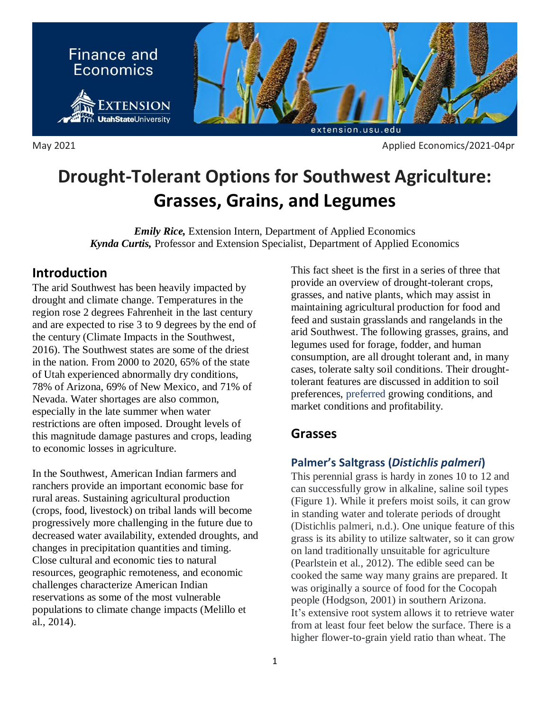

May 2021 **Applied Economics/2021-04pr Applied Economics/2021-04pr** 

# **Drought-Tolerant Options for Southwest Agriculture: Grasses, Grains, and Legumes**

*Emily Rice,* Extension Intern, Department of Applied Economics *Kynda Curtis,* Professor and Extension Specialist, Department of Applied Economics

## **Introduction**

The arid Southwest has been heavily impacted by drought and climate change. Temperatures in the region rose 2 degrees Fahrenheit in the last century and are expected to rise 3 to 9 degrees by the end of the century (Climate Impacts in the Southwest, 2016). The Southwest states are some of the driest in the nation. From 2000 to 2020, 65% of the state of Utah experienced abnormally dry conditions, 78% of Arizona, 69% of New Mexico, and 71% of Nevada. Water shortages are also common, especially in the late summer when water restrictions are often imposed. Drought levels of this magnitude damage pastures and crops, leading to economic losses in agriculture.

In the Southwest, American Indian farmers and ranchers provide an important economic base for rural areas. Sustaining agricultural production (crops, food, livestock) on tribal lands will become progressively more challenging in the future due to decreased water availability, extended droughts, and changes in precipitation quantities and timing. Close cultural and economic ties to natural resources, geographic remoteness, and economic challenges characterize American Indian reservations as some of the most vulnerable populations to climate change impacts (Melillo et al., 2014).

This fact sheet is the first in a series of three that provide an overview of drought-tolerant crops, grasses, and native plants, which may assist in maintaining agricultural production for food and feed and sustain grasslands and rangelands in the arid Southwest. The following grasses, grains, and legumes used for forage, fodder, and human consumption, are all drought tolerant and, in many cases, tolerate salty soil conditions. Their droughttolerant features are discussed in addition to soil preferences, preferred growing conditions, and market conditions and profitability.

## **Grasses**

## **Palmer's Saltgrass (***Distichlis palmeri***)**

This perennial grass is hardy in zones 10 to 12 and can successfully grow in alkaline, saline soil types (Figure 1). While it prefers moist soils, it can grow in standing water and tolerate periods of drought (Distichlis palmeri, n.d.). One unique feature of this grass is its ability to utilize saltwater, so it can grow on land traditionally unsuitable for agriculture (Pearlstein et al., 2012). The edible seed can be cooked the same way many grains are prepared. It was originally a source of food for the Cocopah people (Hodgson, 2001) in southern Arizona. It's extensive root system allows it to retrieve water from at least four feet below the surface. There is a higher flower-to-grain yield ratio than wheat. The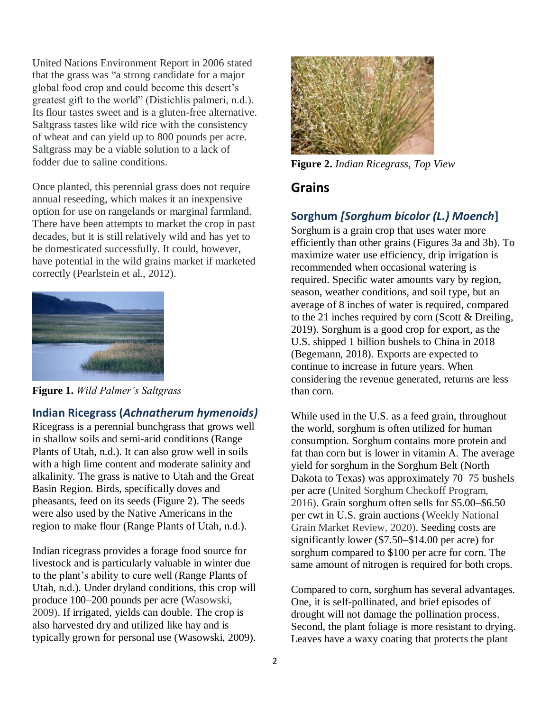United Nations Environment Report in 2006 stated that the grass was "a strong candidate for a major global food crop and could become this desert's greatest gift to the world" (Distichlis palmeri, n.d.). Its flour tastes sweet and is a gluten-free alternative. Saltgrass tastes like wild rice with the consistency of wheat and can yield up to 800 pounds per acre. Saltgrass may be a viable solution to a lack of fodder due to saline conditions.

Once planted, this perennial grass does not require annual reseeding, which makes it an inexpensive option for use on rangelands or marginal farmland. There have been attempts to market the crop in past decades, but it is still relatively wild and has yet to be domesticated successfully. It could, however, have potential in the wild grains market if marketed correctly (Pearlstein et al., 2012).



**Figure 1.** *Wild Palmer's Saltgrass*

#### **Indian Ricegrass (***Achnatherum hymenoids)*

Ricegrass is a perennial bunchgrass that grows well in shallow soils and semi-arid conditions (Range Plants of Utah, n.d.). It can also grow well in soils with a high lime content and moderate salinity and alkalinity. The grass is native to Utah and the Great Basin Region. Birds, specifically doves and pheasants, feed on its seeds (Figure 2). The seeds were also used by the Native Americans in the region to make flour (Range Plants of Utah, n.d.).

Indian ricegrass provides a forage food source for livestock and is particularly valuable in winter due to the plant's ability to cure well (Range Plants of Utah, n.d.). Under dryland conditions, this crop will produce 100–200 pounds per acre (Wasowski, 2009). If irrigated, yields can double. The crop is also harvested dry and utilized like hay and is typically grown for personal use (Wasowski, 2009).



**Figure 2.** *Indian Ricegrass, Top View*

## **Grains**

## **Sorghum** *[Sorghum bicolor (L.) Moench***]**

Sorghum is a grain crop that uses water more efficiently than other grains (Figures 3a and 3b). To maximize water use efficiency, drip irrigation is recommended when occasional watering is required. Specific water amounts vary by region, season, weather conditions, and soil type, but an average of 8 inches of water is required, compared to the 21 inches required by corn (Scott & Dreiling, 2019). Sorghum is a good crop for export, as the U.S. shipped 1 billion bushels to China in 2018 (Begemann, 2018). Exports are expected to continue to increase in future years. When considering the revenue generated, returns are less than corn.

While used in the U.S. as a feed grain, throughout the world, sorghum is often utilized for human consumption. Sorghum contains more protein and fat than corn but is lower in vitamin A. The average yield for sorghum in the Sorghum Belt (North Dakota to Texas) was approximately 70–75 bushels per acre (United Sorghum Checkoff Program, 2016). Grain sorghum often sells for \$5.00–\$6.50 per cwt in U.S. grain auctions (Weekly National Grain Market Review, 2020). Seeding costs are significantly lower (\$7.50–\$14.00 per acre) for sorghum compared to \$100 per acre for corn. The same amount of nitrogen is required for both crops.

Compared to corn, sorghum has several advantages. One, it is self-pollinated, and brief episodes of drought will not damage the pollination process. Second, the plant foliage is more resistant to drying. Leaves have a waxy coating that protects the plant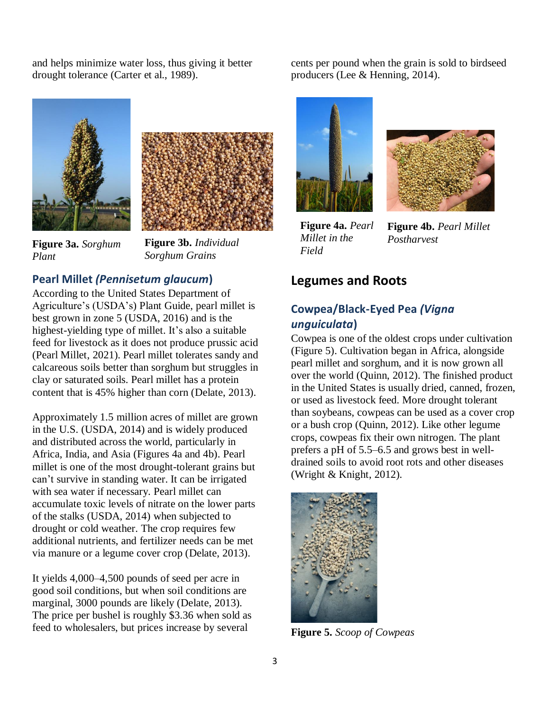and helps minimize water loss, thus giving it better drought tolerance (Carter et al., 1989).





**Figure 3a.** *Sorghum Plant*

**Figure 3b.** *Individual Sorghum Grains*

#### **Pearl Millet** *(Pennisetum glaucum***)**

According to the United States Department of Agriculture's (USDA's) Plant Guide, pearl millet is best grown in zone 5 (USDA, 2016) and is the highest-yielding type of millet. It's also a suitable feed for livestock as it does not produce prussic acid (Pearl Millet, 2021). Pearl millet tolerates sandy and calcareous soils better than sorghum but struggles in clay or saturated soils. Pearl millet has a protein content that is 45% higher than corn (Delate, 2013).

Approximately 1.5 million acres of millet are grown in the U.S. (USDA, 2014) and is widely produced and distributed across the world, particularly in Africa, India, and Asia (Figures 4a and 4b). Pearl millet is one of the most drought-tolerant grains but can't survive in standing water. It can be irrigated with sea water if necessary. Pearl millet can accumulate toxic levels of nitrate on the lower parts of the stalks (USDA, 2014) when subjected to drought or cold weather. The crop requires few additional nutrients, and fertilizer needs can be met via manure or a legume cover crop (Delate, 2013).

It yields 4,000–4,500 pounds of seed per acre in good soil conditions, but when soil conditions are marginal, 3000 pounds are likely (Delate, 2013). The price per bushel is roughly \$3.36 when sold as feed to wholesalers, but prices increase by several

cents per pound when the grain is sold to birdseed producers (Lee & Henning, 2014).





**Figure 4a.** *Pearl Millet in the Field*

**Figure 4b.** *Pearl Millet Postharvest*

#### **Legumes and Roots**

### **Cowpea/Black-Eyed Pea** *(Vigna unguiculata***)**

Cowpea is one of the oldest crops under cultivation (Figure 5). Cultivation began in Africa, alongside pearl millet and sorghum, and it is now grown all over the world (Quinn, 2012). The finished product in the United States is usually dried, canned, frozen, or used as livestock feed. More drought tolerant than soybeans, cowpeas can be used as a cover crop or a bush crop (Quinn, 2012). Like other legume crops, cowpeas fix their own nitrogen. The plant prefers a pH of 5.5–6.5 and grows best in welldrained soils to avoid root rots and other diseases (Wright & Knight, 2012).



**Figure 5.** *Scoop of Cowpeas*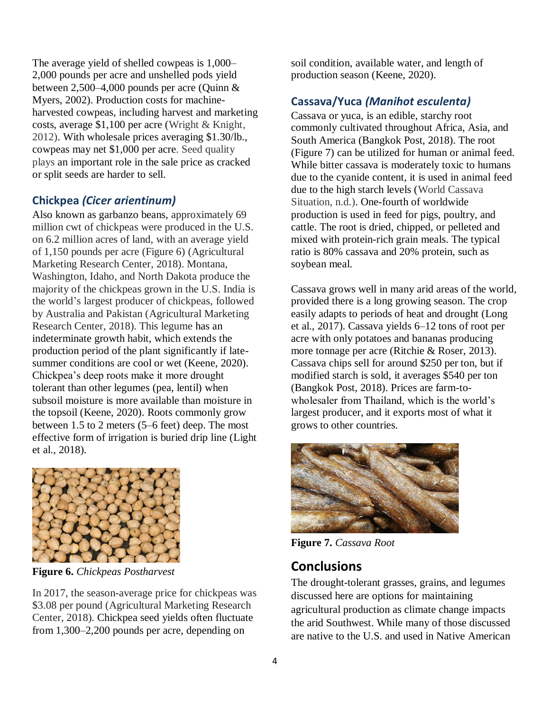The average yield of shelled cowpeas is 1,000– 2,000 pounds per acre and unshelled pods yield between 2,500–4,000 pounds per acre (Quinn & Myers, 2002). Production costs for machineharvested cowpeas, including harvest and marketing costs, average \$1,100 per acre (Wright & Knight, 2012). With wholesale prices averaging \$1.30/lb., cowpeas may net \$1,000 per acre. Seed quality plays an important role in the sale price as cracked or split seeds are harder to sell.

#### **Chickpea** *(Cicer arientinum)*

Also known as garbanzo beans, approximately 69 million cwt of chickpeas were produced in the U.S. on 6.2 million acres of land, with an average yield of 1,150 pounds per acre (Figure 6) (Agricultural Marketing Research Center, 2018). Montana, Washington, Idaho, and North Dakota produce the majority of the chickpeas grown in the U.S. India is the world's largest producer of chickpeas, followed by Australia and Pakistan (Agricultural Marketing Research Center, 2018). This legume has an indeterminate growth habit, which extends the production period of the plant significantly if latesummer conditions are cool or wet (Keene, 2020). Chickpea's deep roots make it more drought tolerant than other legumes (pea, lentil) when subsoil moisture is more available than moisture in the topsoil (Keene, 2020). Roots commonly grow between 1.5 to 2 meters (5–6 feet) deep. The most effective form of irrigation is buried drip line (Light et al., 2018).



**Figure 6.** *Chickpeas Postharvest*

In 2017, the season-average price for chickpeas was \$3.08 per pound (Agricultural Marketing Research Center, 2018). Chickpea seed yields often fluctuate from 1,300–2,200 pounds per acre, depending on

soil condition, available water, and length of production season (Keene, 2020).

#### **Cassava/Yuca** *(Manihot esculenta)*

Cassava or yuca, is an edible, starchy root commonly cultivated throughout Africa, Asia, and South America (Bangkok Post, 2018). The root (Figure 7) can be utilized for human or animal feed. While bitter cassava is moderately toxic to humans due to the cyanide content, it is used in animal feed due to the high starch levels (World Cassava Situation, n.d.). One-fourth of worldwide production is used in feed for pigs, poultry, and cattle. The root is dried, chipped, or pelleted and mixed with protein-rich grain meals. The typical ratio is 80% cassava and 20% protein, such as soybean meal.

Cassava grows well in many arid areas of the world, provided there is a long growing season. The crop easily adapts to periods of heat and drought (Long et al., 2017). Cassava yields 6–12 tons of root per acre with only potatoes and bananas producing more tonnage per acre (Ritchie & Roser, 2013). Cassava chips sell for around \$250 per ton, but if modified starch is sold, it averages \$540 per ton (Bangkok Post, 2018). Prices are farm-towholesaler from Thailand, which is the world's largest producer, and it exports most of what it grows to other countries.



**Figure 7.** *Cassava Root*

## **Conclusions**

The drought-tolerant grasses, grains, and legumes discussed here are options for maintaining agricultural production as climate change impacts the arid Southwest. While many of those discussed are native to the U.S. and used in Native American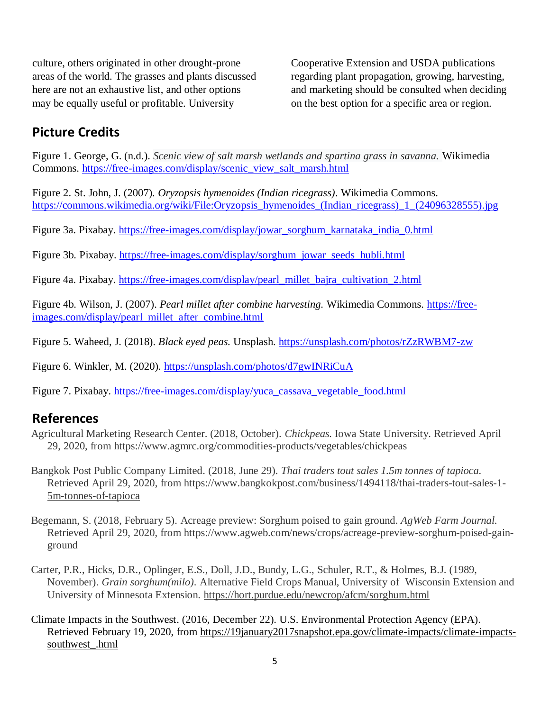culture, others originated in other drought-prone areas of the world. The grasses and plants discussed here are not an exhaustive list, and other options may be equally useful or profitable. University

Cooperative Extension and USDA publications regarding plant propagation, growing, harvesting, and marketing should be consulted when deciding on the best option for a specific area or region.

# **Picture Credits**

Figure 1. George, G. (n.d.). *Scenic view of salt marsh wetlands and spartina grass in savanna.* Wikimedia Commons. [https://free-images.com/display/scenic\\_view\\_salt\\_marsh.html](https://free-images.com/display/scenic_view_salt_marsh.html)

Figure 2. St. John, J. (2007). *Oryzopsis hymenoides (Indian ricegrass)*. Wikimedia Commons. [https://commons.wikimedia.org/wiki/File:Oryzopsis\\_hymenoides\\_\(Indian\\_ricegrass\)\\_1\\_\(24096328555\).jpg](https://commons.wikimedia.org/wiki/File:Oryzopsis_hymenoides_(Indian_ricegrass)_1_(24096328555).jpg)

Figure 3a. Pixabay. [https://free-images.com/display/jowar\\_sorghum\\_karnataka\\_india\\_0.html](https://free-images.com/display/jowar_sorghum_karnataka_india_0.html)

Figure 3b. Pixabay. [https://free-images.com/display/sorghum\\_jowar\\_seeds\\_hubli.html](https://free-images.com/display/sorghum_jowar_seeds_hubli.html)

Figure 4a. Pixabay. [https://free-images.com/display/pearl\\_millet\\_bajra\\_cultivation\\_2.html](https://free-images.com/display/pearl_millet_bajra_cultivation_2.html)

Figure 4b. Wilson, J. (2007). *Pearl millet after combine harvesting.* Wikimedia Commons. [https://free](https://free-images.com/display/pearl_millet_after_combine.html)[images.com/display/pearl\\_millet\\_after\\_combine.html](https://free-images.com/display/pearl_millet_after_combine.html)

Figure 5. Waheed, J. (2018). *Black eyed peas.* Unsplash.<https://unsplash.com/photos/rZzRWBM7-zw>

Figure 6. Winkler, M. (2020).<https://unsplash.com/photos/d7gwINRiCuA>

Figure 7. Pixabay. [https://free-images.com/display/yuca\\_cassava\\_vegetable\\_food.html](https://free-images.com/display/yuca_cassava_vegetable_food.html)

## **References**

- Agricultural Marketing Research Center. (2018, October). *Chickpeas.* Iowa State University. Retrieved April 29, 2020, from<https://www.agmrc.org/commodities-products/vegetables/chickpeas>
- Bangkok Post Public Company Limited. (2018, June 29). *Thai traders tout sales 1.5m tonnes of tapioca.* Retrieved April 29, 2020, from [https://www.bangkokpost.com/business/1494118/thai-traders-tout-sales-1-](https://www.bangkokpost.com/business/1494118/thai-traders-tout-sales-1-5m-tonnes-of-tapioca) [5m-tonnes-of-tapioca](https://www.bangkokpost.com/business/1494118/thai-traders-tout-sales-1-5m-tonnes-of-tapioca)
- Begemann, S. (2018, February 5). Acreage preview: Sorghum poised to gain ground. *AgWeb Farm Journal.* Retrieved April 29, 2020, from https://www.agweb.com/news/crops/acreage-preview-sorghum-poised-gainground
- Carter, P.R., Hicks, D.R., Oplinger, E.S., Doll, J.D., Bundy, L.G., Schuler, R.T., & Holmes, B.J. (1989, November). *Grain sorghum(milo).* Alternative Field Crops Manual, University of Wisconsin Extension and University of Minnesota Extension.<https://hort.purdue.edu/newcrop/afcm/sorghum.html>
- Climate Impacts in the Southwest. (2016, December 22). U.S. Environmental Protection Agency (EPA). Retrieved February 19, 2020, from [https://19january2017snapshot.epa.gov/climate-impacts/climate-impacts](https://19january2017snapshot.epa.gov/climate-impacts/climate-impacts-southwest_.html)southwest .html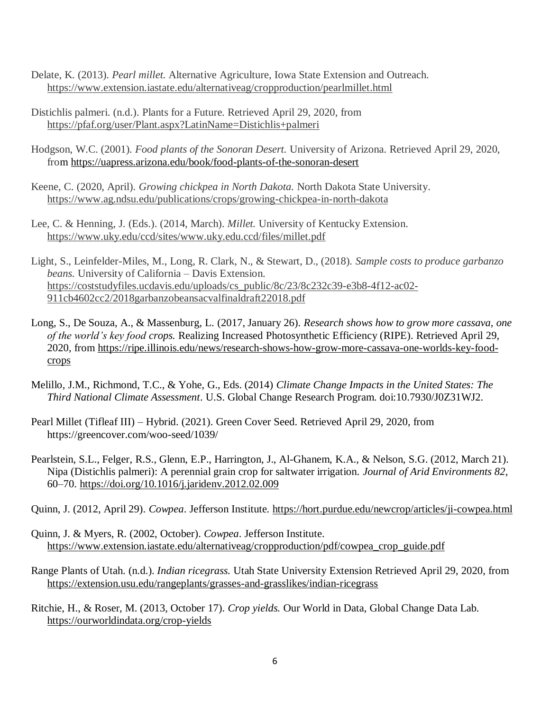- Delate, K. (2013). *Pearl millet.* Alternative Agriculture, Iowa State Extension and Outreach. <https://www.extension.iastate.edu/alternativeag/cropproduction/pearlmillet.html>
- Distichlis palmeri. (n.d.). Plants for a Future. Retrieved April 29, 2020, from <https://pfaf.org/user/Plant.aspx?LatinName=Distichlis+palmeri>
- Hodgson, W.C. (2001). *Food plants of the Sonoran Desert.* University of Arizona. Retrieved April 29, 2020, from<https://uapress.arizona.edu/book/food-plants-of-the-sonoran-desert>
- Keene, C. (2020, April). *Growing chickpea in North Dakota.* North Dakota State University. <https://www.ag.ndsu.edu/publications/crops/growing-chickpea-in-north-dakota>
- Lee, C. & Henning, J. (Eds.). (2014, March). *Millet.* University of Kentucky Extension. <https://www.uky.edu/ccd/sites/www.uky.edu.ccd/files/millet.pdf>
- Light, S., Leinfelder-Miles, M., Long, R. Clark, N., & Stewart, D., (2018). *Sample costs to produce garbanzo beans.* University of California – Davis Extension. [https://coststudyfiles.ucdavis.edu/uploads/cs\\_public/8c/23/8c232c39-e3b8-4f12-ac02-](https://coststudyfiles.ucdavis.edu/uploads/cs_public/8c/23/8c232c39-e3b8-4f12-ac02-911cb4602cc2/2018garbanzobeansacvalfinaldraft22018.pdf) [911cb4602cc2/2018garbanzobeansacvalfinaldraft22018.pdf](https://coststudyfiles.ucdavis.edu/uploads/cs_public/8c/23/8c232c39-e3b8-4f12-ac02-911cb4602cc2/2018garbanzobeansacvalfinaldraft22018.pdf)
- Long, S., De Souza, A., & Massenburg, L. (2017, January 26). *Research shows how to grow more cassava, one of the world's key food crops.* Realizing Increased Photosynthetic Efficiency (RIPE). Retrieved April 29, 2020, from [https://ripe.illinois.edu/news/research-shows-how-grow-more-cassava-one-worlds-key-food](https://ripe.illinois.edu/news/research-shows-how-grow-more-cassava-one-worlds-key-food-crops)[crops](https://ripe.illinois.edu/news/research-shows-how-grow-more-cassava-one-worlds-key-food-crops)
- Melillo, J.M., Richmond, T.C., & Yohe, G., Eds. (2014) *Climate Change Impacts in the United States: The Third National Climate Assessment*. U.S. Global Change Research Program. doi:10.7930/J0Z31WJ2.
- Pearl Millet (Tifleaf III) Hybrid. (2021). Green Cover Seed. Retrieved April 29, 2020, from https://greencover.com/woo-seed/1039/
- Pearlstein, S.L., Felger, R.S., Glenn, E.P., Harrington, J., Al-Ghanem, K.A., & Nelson, S.G. (2012, March 21). Nipa (Distichlis palmeri): A perennial grain crop for saltwater irrigation. *Journal of Arid Environments 82*, 60–70. <https://doi.org/10.1016/j.jaridenv.2012.02.009>
- Quinn, J. (2012, April 29). *Cowpea*. Jefferson Institute.<https://hort.purdue.edu/newcrop/articles/ji-cowpea.html>
- Quinn, J. & Myers, R. (2002, October). *Cowpea*. Jefferson Institute. [https://www.extension.iastate.edu/alternativeag/cropproduction/pdf/cowpea\\_crop\\_guide.pdf](https://www.extension.iastate.edu/alternativeag/cropproduction/pdf/cowpea_crop_guide.pdf)
- Range Plants of Utah. (n.d.). *Indian ricegrass.* Utah State University Extension Retrieved April 29, 2020, from <https://extension.usu.edu/rangeplants/grasses-and-grasslikes/indian-ricegrass>
- Ritchie, H., & Roser, M. (2013, October 17). *Crop yields.* Our World in Data, Global Change Data Lab. <https://ourworldindata.org/crop-yields>